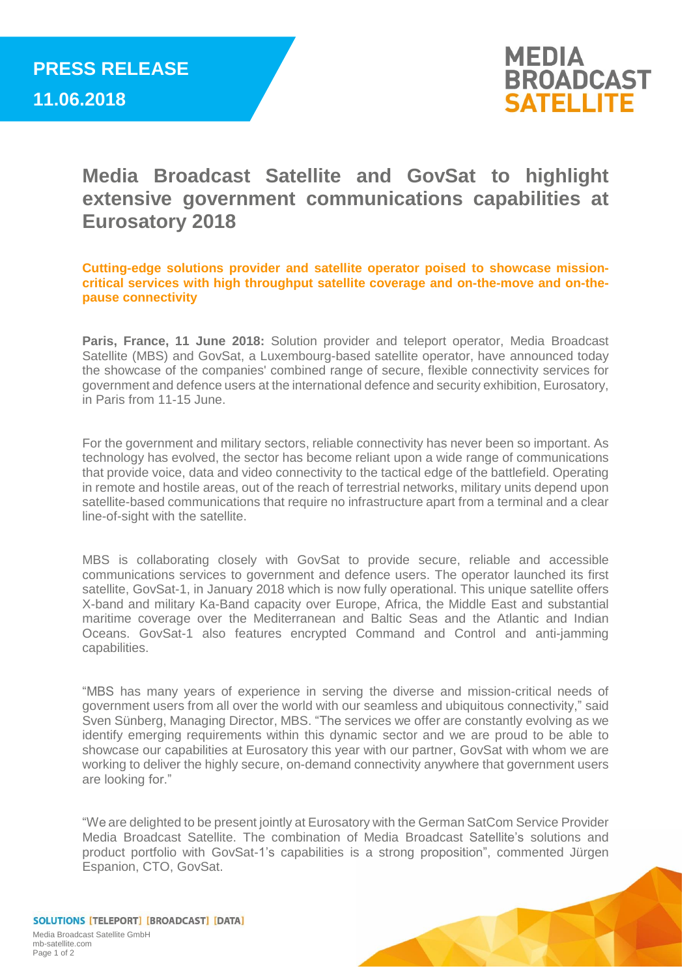

**Media Broadcast Satellite and GovSat to highlight extensive government communications capabilities at Eurosatory 2018**

**Cutting-edge solutions provider and satellite operator poised to showcase missioncritical services with high throughput satellite coverage and on-the-move and on-thepause connectivity**

**Paris, France, 11 June 2018:** Solution provider and teleport operator, Media Broadcast Satellite (MBS) and GovSat, a Luxembourg-based satellite operator, have announced today the showcase of the companies' combined range of secure, flexible connectivity services for government and defence users at the international defence and security exhibition, Eurosatory, in Paris from 11-15 June.

For the government and military sectors, reliable connectivity has never been so important. As technology has evolved, the sector has become reliant upon a wide range of communications that provide voice, data and video connectivity to the tactical edge of the battlefield. Operating in remote and hostile areas, out of the reach of terrestrial networks, military units depend upon satellite-based communications that require no infrastructure apart from a terminal and a clear line-of-sight with the satellite.

MBS is collaborating closely with GovSat to provide secure, reliable and accessible communications services to government and defence users. The operator launched its first satellite, GovSat-1, in January 2018 which is now fully operational. This unique satellite offers X-band and military Ka-Band capacity over Europe, Africa, the Middle East and substantial maritime coverage over the Mediterranean and Baltic Seas and the Atlantic and Indian Oceans. GovSat-1 also features encrypted Command and Control and anti-jamming capabilities.

"MBS has many years of experience in serving the diverse and mission-critical needs of government users from all over the world with our seamless and ubiquitous connectivity," said Sven Sünberg, Managing Director, MBS. "The services we offer are constantly evolving as we identify emerging requirements within this dynamic sector and we are proud to be able to showcase our capabilities at Eurosatory this year with our partner, GovSat with whom we are working to deliver the highly secure, on-demand connectivity anywhere that government users are looking for."

"We are delighted to be present jointly at Eurosatory with the German SatCom Service Provider Media Broadcast Satellite. The combination of Media Broadcast Satellite's solutions and product portfolio with GovSat-1's capabilities is a strong proposition", commented Jürgen Espanion, CTO, GovSat.

SOLUTIONS [TELEPORT] [BROADCAST] [DATA] Media Broadcast Satellite GmbH mb-satellite.com Page 1 of 2